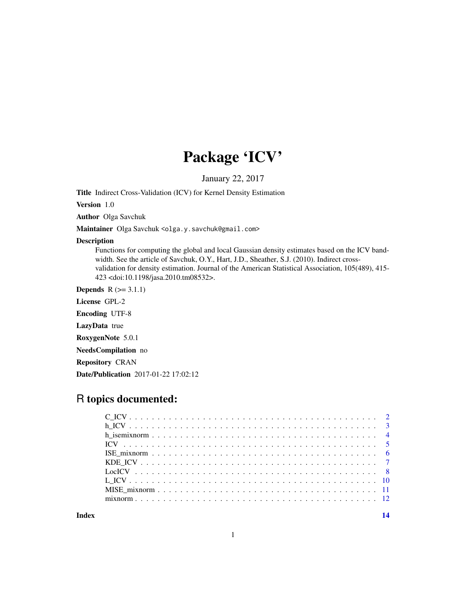## Package 'ICV'

January 22, 2017

Title Indirect Cross-Validation (ICV) for Kernel Density Estimation

Version 1.0

Author Olga Savchuk

Maintainer Olga Savchuk <olga.y.savchuk@gmail.com>

#### Description

Functions for computing the global and local Gaussian density estimates based on the ICV bandwidth. See the article of Savchuk, O.Y., Hart, J.D., Sheather, S.J. (2010). Indirect crossvalidation for density estimation. Journal of the American Statistical Association, 105(489), 415- 423 <doi:10.1198/jasa.2010.tm08532>.

**Depends**  $R$  ( $>= 3.1.1$ )

License GPL-2

Encoding UTF-8

LazyData true

RoxygenNote 5.0.1

NeedsCompilation no

Repository CRAN

Date/Publication 2017-01-22 17:02:12

### R topics documented:

**Index** 2008 **[14](#page-13-0)**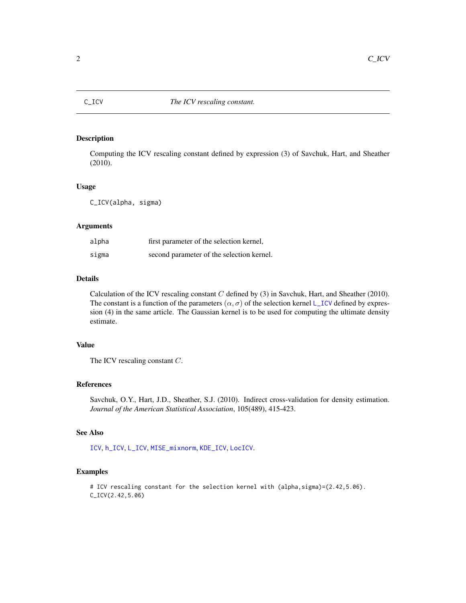<span id="page-1-1"></span><span id="page-1-0"></span>

Computing the ICV rescaling constant defined by expression (3) of Savchuk, Hart, and Sheather (2010).

#### Usage

C\_ICV(alpha, sigma)

#### Arguments

| alpha | first parameter of the selection kernel,  |
|-------|-------------------------------------------|
| sigma | second parameter of the selection kernel. |

#### Details

Calculation of the ICV rescaling constant  $C$  defined by (3) in Savchuk, Hart, and Sheather (2010). The constant is a function of the parameters ( $\alpha$ ,  $\sigma$ ) of the selection kernel [L\\_ICV](#page-9-1) defined by expression (4) in the same article. The Gaussian kernel is to be used for computing the ultimate density estimate.

#### Value

The ICV rescaling constant C.

#### References

Savchuk, O.Y., Hart, J.D., Sheather, S.J. (2010). Indirect cross-validation for density estimation. *Journal of the American Statistical Association*, 105(489), 415-423.

#### See Also

[ICV](#page-4-1), [h\\_ICV](#page-2-1), [L\\_ICV](#page-9-1), [MISE\\_mixnorm](#page-10-1), [KDE\\_ICV](#page-6-1), [LocICV](#page-7-1).

#### Examples

# ICV rescaling constant for the selection kernel with (alpha, sigma)=(2.42,5.06). C\_ICV(2.42,5.06)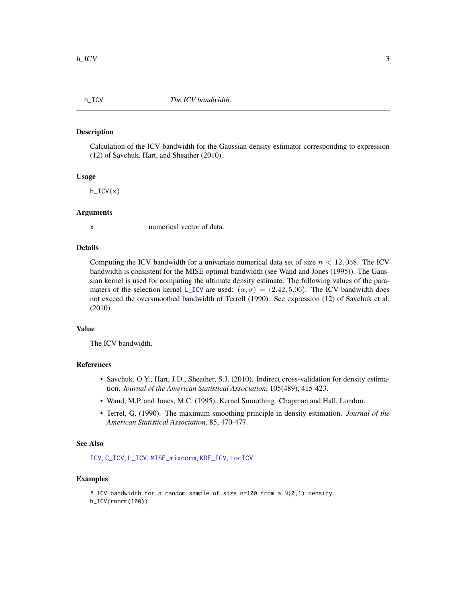<span id="page-2-1"></span><span id="page-2-0"></span>

Calculation of the ICV bandwidth for the Gaussian density estimator corresponding to expression (12) of Savchuk, Hart, and Sheather (2010).

#### Usage

h\_ICV(x)

#### Arguments

x numerical vector of data.

### Details

Computing the ICV bandwidth for a univariate numerical data set of size  $n < 12,058$ . The ICV bandwidth is consistent for the MISE optimal bandwidth (see Wand and Jones (1995)). The Gaussian kernel is used for computing the ultimate density estimate. The following values of the para-maters of the selection kernel [L\\_ICV](#page-9-1) are used:  $(\alpha, \sigma) = (2.42, 5.06)$ . The ICV bandwidth does not exceed the oversmoothed bandwidth of Terrell (1990). See expression (12) of Savchuk et al. (2010).

#### Value

The ICV bandwidth.

#### References

- Savchuk, O.Y., Hart, J.D., Sheather, S.J. (2010). Indirect cross-validation for density estimation. *Journal of the American Statistical Association*, 105(489), 415-423.
- Wand, M.P. and Jones, M.C. (1995). Kernel Smoothing. Chapman and Hall, London.
- Terrel, G. (1990). The maximum smoothing principle in density estimation. *Journal of the American Statistical Association*, 85, 470-477.

#### See Also

[ICV](#page-4-1), [C\\_ICV](#page-1-1), [L\\_ICV](#page-9-1), [MISE\\_mixnorm](#page-10-1), [KDE\\_ICV](#page-6-1), [LocICV](#page-7-1).

#### Examples

```
# ICV bandwidth for a random sample of size n=100 from a N(0,1) density.
h_ICV(rnorm(100))
```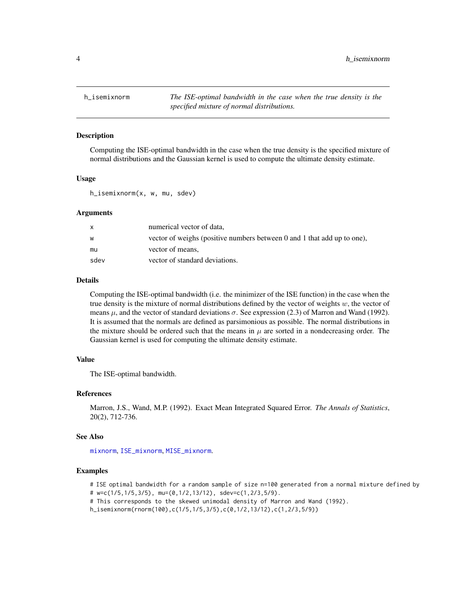<span id="page-3-1"></span><span id="page-3-0"></span>

Computing the ISE-optimal bandwidth in the case when the true density is the specified mixture of normal distributions and the Gaussian kernel is used to compute the ultimate density estimate.

#### Usage

h\_isemixnorm(x, w, mu, sdev)

#### Arguments

| X    | numerical vector of data,                                               |
|------|-------------------------------------------------------------------------|
| W    | vector of weighs (positive numbers between 0 and 1 that add up to one), |
| mu   | vector of means,                                                        |
| sdev | vector of standard deviations.                                          |

#### Details

Computing the ISE-optimal bandwidth (i.e. the minimizer of the ISE function) in the case when the true density is the mixture of normal distributions defined by the vector of weights  $w$ , the vector of means  $\mu$ , and the vector of standard deviations  $\sigma$ . See expression (2.3) of Marron and Wand (1992). It is assumed that the normals are defined as parsimonious as possible. The normal distributions in the mixture should be ordered such that the means in  $\mu$  are sorted in a nondecreasing order. The Gaussian kernel is used for computing the ultimate density estimate.

#### Value

The ISE-optimal bandwidth.

#### References

Marron, J.S., Wand, M.P. (1992). Exact Mean Integrated Squared Error. *The Annals of Statistics*, 20(2), 712-736.

#### See Also

[mixnorm](#page-11-1), [ISE\\_mixnorm](#page-5-1), [MISE\\_mixnorm](#page-10-1).

#### Examples

# ISE optimal bandwidth for a random sample of size n=100 generated from a normal mixture defined by

- # w=c(1/5,1/5,3/5), mu=(0,1/2,13/12), sdev=c(1,2/3,5/9).
- # This corresponds to the skewed unimodal density of Marron and Wand (1992).
- h\_isemixnorm(rnorm(100),c(1/5,1/5,3/5),c(0,1/2,13/12),c(1,2/3,5/9))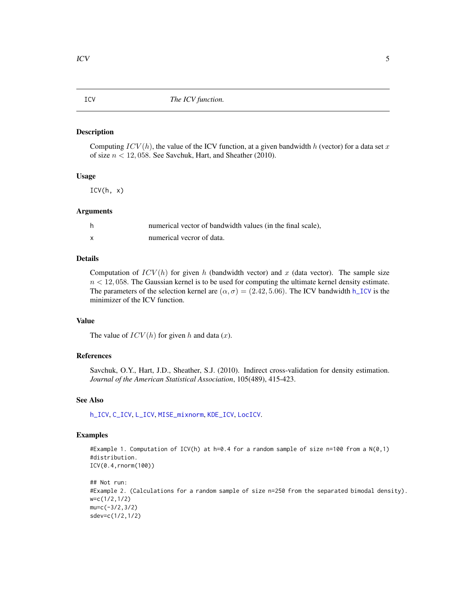<span id="page-4-1"></span><span id="page-4-0"></span>Computing  $ICV(h)$ , the value of the ICV function, at a given bandwidth h (vector) for a data set x of size  $n < 12,058$ . See Savchuk, Hart, and Sheather (2010).

#### Usage

 $ICV(h, x)$ 

#### Arguments

| numerical vector of bandwidth values (in the final scale), |
|------------------------------------------------------------|
| numerical vecror of data.                                  |

#### Details

Computation of  $ICV(h)$  for given h (bandwidth vector) and x (data vector). The sample size  $n < 12,058$ . The Gaussian kernel is to be used for computing the ultimate kernel density estimate. The parameters of the selection kernel are  $(\alpha, \sigma) = (2.42, 5.06)$ . The ICV bandwidth [h\\_ICV](#page-2-1) is the minimizer of the ICV function.

#### Value

The value of  $ICV(h)$  for given h and data  $(x)$ .

#### References

Savchuk, O.Y., Hart, J.D., Sheather, S.J. (2010). Indirect cross-validation for density estimation. *Journal of the American Statistical Association*, 105(489), 415-423.

#### See Also

[h\\_ICV](#page-2-1), [C\\_ICV](#page-1-1), [L\\_ICV](#page-9-1), [MISE\\_mixnorm](#page-10-1), [KDE\\_ICV](#page-6-1), [LocICV](#page-7-1).

#### Examples

```
#Example 1. Computation of ICV(h) at h=0.4 for a random sample of size n=100 from a N(0,1)
#distribution.
ICV(0.4,rnorm(100))
```

```
## Not run:
#Example 2. (Calculations for a random sample of size n=250 from the separated bimodal density).
w=c(1/2,1/2)
mu=c(-3/2,3/2)
sdev=c(1/2,1/2)
```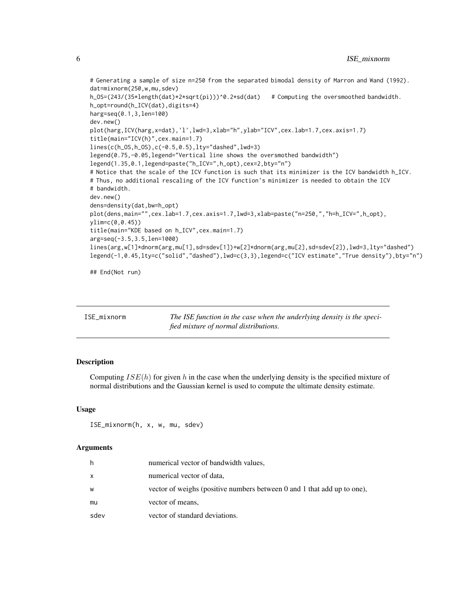```
# Generating a sample of size n=250 from the separated bimodal density of Marron and Wand (1992).
dat=mixnorm(250,w,mu,sdev)
h_OS=(243/(35*length(dat)*2*sqrt(pi)))^0.2*sd(dat) # Computing the oversmoothed bandwidth.
h_opt=round(h_ICV(dat),digits=4)
harg=seq(0.1,3,len=100)
dev.new()
plot(harg,ICV(harg,x=dat),'l',lwd=3,xlab="h",ylab="ICV",cex.lab=1.7,cex.axis=1.7)
title(main="ICV(h)",cex.main=1.7)
lines(c(h_OS,h_OS),c(-0.5,0.5),lty="dashed",lwd=3)
legend(0.75,-0.05,legend="Vertical line shows the oversmothed bandwidth")
legend(1.35,0.1,legend=paste("h_ICV=",h_opt),cex=2,bty="n")
# Notice that the scale of the ICV function is such that its minimizer is the ICV bandwidth h_ICV.
# Thus, no additional rescaling of the ICV function's minimizer is needed to obtain the ICV
# bandwidth.
dev.new()
dens=density(dat,bw=h_opt)
plot(dens,main="",cex.lab=1.7,cex.axis=1.7,lwd=3,xlab=paste("n=250,","h=h_ICV=",h_opt),
ylim=c(0,0.45))
title(main="KDE based on h_ICV",cex.main=1.7)
arg=seq(-3.5,3.5,len=1000)
lines(arg,w[1]*dnorm(arg,mu[1],sd=sdev[1])+w[2]*dnorm(arg,mu[2],sd=sdev[2]),lwd=3,lty="dashed")
legend(-1,0.45,lty=c("solid","dashed"),lwd=c(3,3),legend=c("ICV estimate","True density"),bty="n")
## End(Not run)
```
<span id="page-5-1"></span>

| ISE mixnorm | The ISE function in the case when the underlying density is the speci- |
|-------------|------------------------------------------------------------------------|
|             | fied mixture of normal distributions.                                  |

Computing  $ISE(h)$  for given h in the case when the underlying density is the specified mixture of normal distributions and the Gaussian kernel is used to compute the ultimate density estimate.

#### Usage

```
ISE_mixnorm(h, x, w, mu, sdev)
```
#### Arguments

| h    | numerical vector of bandwidth values,                                   |
|------|-------------------------------------------------------------------------|
| x    | numerical vector of data,                                               |
| w    | vector of weighs (positive numbers between 0 and 1 that add up to one), |
| mu   | vector of means,                                                        |
| sdev | vector of standard deviations.                                          |

<span id="page-5-0"></span>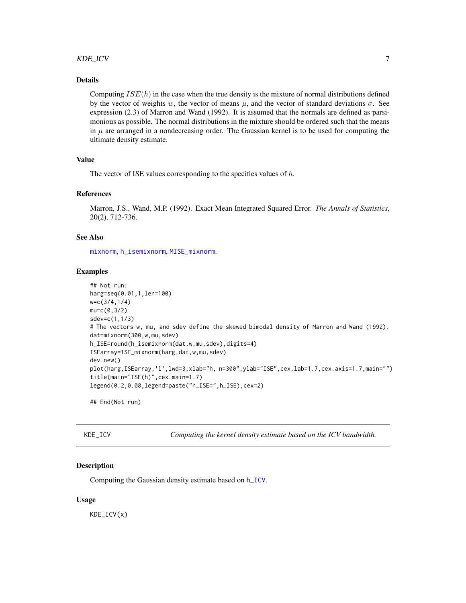#### <span id="page-6-0"></span>KDE\_ICV 7

#### Details

Computing  $ISE(h)$  in the case when the true density is the mixture of normal distributions defined by the vector of weights w, the vector of means  $\mu$ , and the vector of standard deviations  $\sigma$ . See expression (2.3) of Marron and Wand (1992). It is assumed that the normals are defined as parsimonious as possible. The normal distributions in the mixture should be ordered such that the means in  $\mu$  are arranged in a nondecreasing order. The Gaussian kernel is to be used for computing the ultimate density estimate.

#### Value

The vector of ISE values corresponding to the specifies values of  $h$ .

#### References

Marron, J.S., Wand, M.P. (1992). Exact Mean Integrated Squared Error. *The Annals of Statistics*, 20(2), 712-736.

#### See Also

[mixnorm](#page-11-1), [h\\_isemixnorm](#page-3-1), [MISE\\_mixnorm](#page-10-1).

#### Examples

```
## Not run:
harg=seq(0.01,1,len=100)
w=c(3/4,1/4)
mu=c(0,3/2)
sdev=c(1,1/3)
# The vectors w, mu, and sdev define the skewed bimodal density of Marron and Wand (1992).
dat=mixnorm(300,w,mu,sdev)
h_ISE=round(h_isemixnorm(dat,w,mu,sdev),digits=4)
ISEarray=ISE_mixnorm(harg,dat,w,mu,sdev)
dev.new()
plot(harg,ISEarray,'l',lwd=3,xlab="h, n=300",ylab="ISE",cex.lab=1.7,cex.axis=1.7,main="")
title(main="ISE(h)",cex.main=1.7)
legend(0.2,0.08,legend=paste("h_ISE=",h_ISE),cex=2)
```
## End(Not run)

<span id="page-6-1"></span>KDE\_ICV *Computing the kernel density estimate based on the ICV bandwidth.*

#### Description

Computing the Gaussian density estimate based on [h\\_ICV](#page-2-1).

#### Usage

KDE\_ICV(x)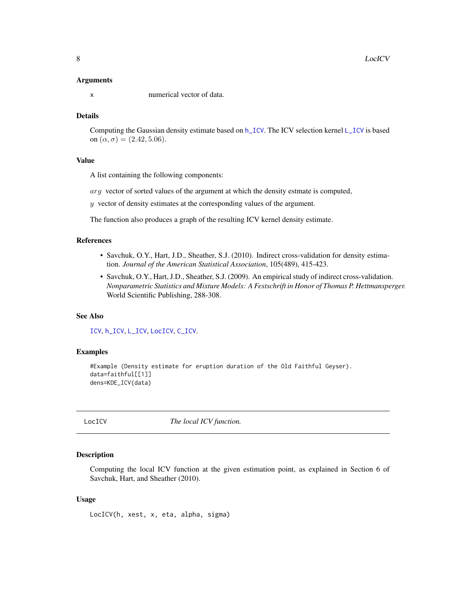#### <span id="page-7-0"></span>Arguments

x numerical vector of data.

#### Details

Computing the Gaussian density estimate based on [h\\_ICV](#page-2-1). The ICV selection kernel [L\\_ICV](#page-9-1) is based on  $(\alpha, \sigma) = (2.42, 5.06)$ .

#### Value

A list containing the following components:

arg vector of sorted values of the argument at which the density estmate is computed,

 $y$  vector of density estimates at the corresponding values of the argument.

The function also produces a graph of the resulting ICV kernel density estimate.

#### References

- Savchuk, O.Y., Hart, J.D., Sheather, S.J. (2010). Indirect cross-validation for density estimation. *Journal of the American Statistical Association*, 105(489), 415-423.
- Savchuk, O.Y., Hart, J.D., Sheather, S.J. (2009). An empirical study of indirect cross-validation. *Nonparametric Statistics and Mixture Models: A Festschrift in Honor of Thomas P. Hettmansperger.* World Scientific Publishing, 288-308.

#### See Also

[ICV](#page-4-1), [h\\_ICV](#page-2-1), [L\\_ICV](#page-9-1), [LocICV](#page-7-1), [C\\_ICV](#page-1-1).

#### Examples

```
#Example (Density estimate for eruption duration of the Old Faithful Geyser).
data=faithful[[1]]
dens=KDE_ICV(data)
```
<span id="page-7-1"></span>

LocICV *The local ICV function.*

#### Description

Computing the local ICV function at the given estimation point, as explained in Section 6 of Savchuk, Hart, and Sheather (2010).

#### Usage

LocICV(h, xest, x, eta, alpha, sigma)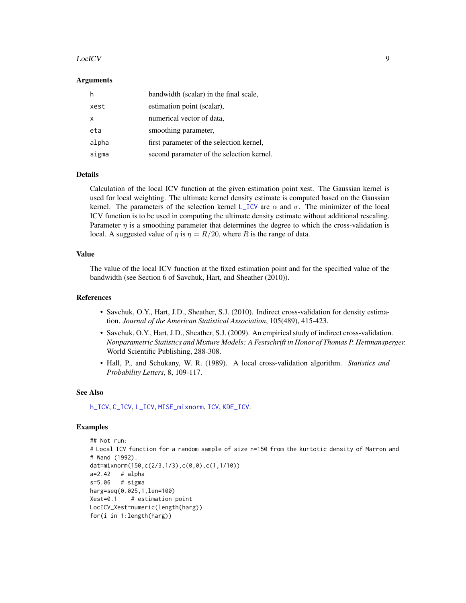#### <span id="page-8-0"></span>LocICV 9

#### Arguments

| h     | bandwidth (scalar) in the final scale,    |
|-------|-------------------------------------------|
| xest  | estimation point (scalar),                |
| X     | numerical vector of data,                 |
| eta   | smoothing parameter,                      |
| alpha | first parameter of the selection kernel,  |
| sigma | second parameter of the selection kernel. |

#### Details

Calculation of the local ICV function at the given estimation point xest. The Gaussian kernel is used for local weighting. The ultimate kernel density estimate is computed based on the Gaussian kernel. The parameters of the selection kernel [L\\_ICV](#page-9-1) are  $\alpha$  and  $\sigma$ . The minimizer of the local ICV function is to be used in computing the ultimate density estimate without additional rescaling. Parameter  $\eta$  is a smoothing parameter that determines the degree to which the cross-validation is local. A suggested value of  $\eta$  is  $\eta = R/20$ , where R is the range of data.

#### Value

The value of the local ICV function at the fixed estimation point and for the specified value of the bandwidth (see Section 6 of Savchuk, Hart, and Sheather (2010)).

#### References

- Savchuk, O.Y., Hart, J.D., Sheather, S.J. (2010). Indirect cross-validation for density estimation. *Journal of the American Statistical Association*, 105(489), 415-423.
- Savchuk, O.Y., Hart, J.D., Sheather, S.J. (2009). An empirical study of indirect cross-validation. *Nonparametric Statistics and Mixture Models: A Festschrift in Honor of Thomas P. Hettmansperger.* World Scientific Publishing, 288-308.
- Hall, P., and Schukany, W. R. (1989). A local cross-validation algorithm. *Statistics and Probability Letters*, 8, 109-117.

#### See Also

[h\\_ICV](#page-2-1), [C\\_ICV](#page-1-1), [L\\_ICV](#page-9-1), [MISE\\_mixnorm](#page-10-1), [ICV](#page-4-1), [KDE\\_ICV](#page-6-1).

#### Examples

```
## Not run:
# Local ICV function for a random sample of size n=150 from the kurtotic density of Marron and
# Wand (1992).
dat=mixnorm(150,c(2/3,1/3),c(0,0),c(1,1/10))
a=2.42 # alpha
s=5.06 # sigma
harg=seq(0.025,1,len=100)
Xest=0.1 # estimation point
LocICV_Xest=numeric(length(harg))
for(i in 1:length(harg))
```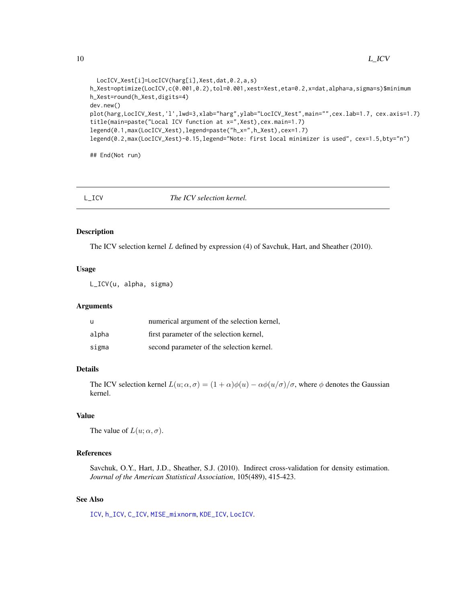```
LocICV_Xest[i]=LocICV(harg[i],Xest,dat,0.2,a,s)
h_Xest=optimize(LocICV,c(0.001,0.2),tol=0.001,xest=Xest,eta=0.2,x=dat,alpha=a,sigma=s)$minimum
h_Xest=round(h_Xest,digits=4)
dev.new()
plot(harg,LocICV_Xest,'l',lwd=3,xlab="harg",ylab="LocICV_Xest",main="",cex.lab=1.7, cex.axis=1.7)
title(main=paste("Local ICV function at x=",Xest),cex.main=1.7)
legend(0.1,max(LocICV_Xest),legend=paste("h_x=",h_Xest),cex=1.7)
legend(0.2,max(LocICV_Xest)-0.15,legend="Note: first local minimizer is used", cex=1.5,bty="n")
```
## End(Not run)

<span id="page-9-1"></span>

L\_ICV *The ICV selection kernel.*

#### Description

The ICV selection kernel L defined by expression (4) of Savchuk, Hart, and Sheather (2010).

#### Usage

L\_ICV(u, alpha, sigma)

#### Arguments

| u     | numerical argument of the selection kernel, |
|-------|---------------------------------------------|
| alpha | first parameter of the selection kernel,    |
| sigma | second parameter of the selection kernel.   |

#### Details

The ICV selection kernel  $L(u; \alpha, \sigma) = (1 + \alpha)\phi(u) - \alpha\phi(u/\sigma)/\sigma$ , where  $\phi$  denotes the Gaussian kernel.

#### Value

The value of  $L(u; \alpha, \sigma)$ .

#### References

Savchuk, O.Y., Hart, J.D., Sheather, S.J. (2010). Indirect cross-validation for density estimation. *Journal of the American Statistical Association*, 105(489), 415-423.

### See Also

[ICV](#page-4-1), [h\\_ICV](#page-2-1), [C\\_ICV](#page-1-1), [MISE\\_mixnorm](#page-10-1), [KDE\\_ICV](#page-6-1), [LocICV](#page-7-1).

<span id="page-9-0"></span>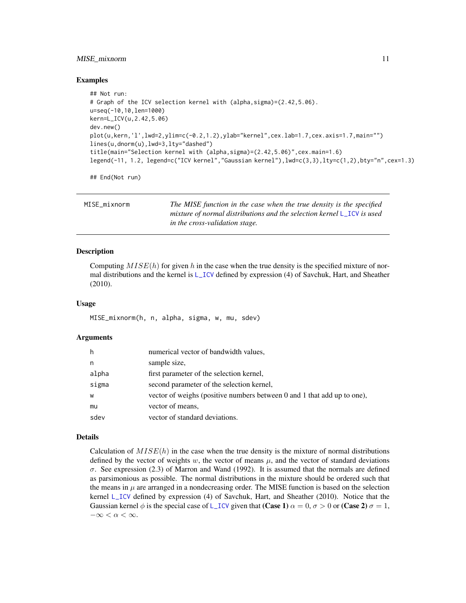#### <span id="page-10-0"></span>MISE\_mixnorm 11

#### Examples

```
## Not run:
# Graph of the ICV selection kernel with (alpha,sigma)=(2.42,5.06).
u=seq(-10,10,len=1000)
kern=L_ICV(u,2.42,5.06)
dev.new()
plot(u,kern,'l',lwd=2,ylim=c(-0.2,1.2),ylab="kernel",cex.lab=1.7,cex.axis=1.7,main="")
lines(u,dnorm(u),lwd=3,lty="dashed")
title(main="Selection kernel with (alpha,sigma)=(2.42,5.06)",cex.main=1.6)
legend(-11, 1.2, legend=c("ICV kernel","Gaussian kernel"),lwd=c(3,3),lty=c(1,2),bty="n",cex=1.3)
```
## End(Not run)

<span id="page-10-1"></span>

| MISE mixnorm | The MISE function in the case when the true density is the specified     |
|--------------|--------------------------------------------------------------------------|
|              | mixture of normal distributions and the selection kernel $L_ICV$ is used |
|              | in the cross-validation stage.                                           |

#### Description

Computing  $MISE(h)$  for given h in the case when the true density is the specified mixture of normal distributions and the kernel is [L\\_ICV](#page-9-1) defined by expression (4) of Savchuk, Hart, and Sheather (2010).

#### Usage

MISE\_mixnorm(h, n, alpha, sigma, w, mu, sdev)

#### Arguments

| h     | numerical vector of bandwidth values,                                   |
|-------|-------------------------------------------------------------------------|
| n     | sample size,                                                            |
| alpha | first parameter of the selection kernel,                                |
| sigma | second parameter of the selection kernel,                               |
| W     | vector of weighs (positive numbers between 0 and 1 that add up to one), |
| mu    | vector of means,                                                        |
| sdev  | vector of standard deviations.                                          |

#### Details

Calculation of  $MISE(h)$  in the case when the true density is the mixture of normal distributions defined by the vector of weights w, the vector of means  $\mu$ , and the vector of standard deviations σ. See expression (2.3) of Marron and Wand (1992). It is assumed that the normals are defined as parsimonious as possible. The normal distributions in the mixture should be ordered such that the means in  $\mu$  are arranged in a nondecreasing order. The MISE function is based on the selection kernel [L\\_ICV](#page-9-1) defined by expression (4) of Savchuk, Hart, and Sheather (2010). Notice that the Gaussian kernel  $\phi$  is the special case of [L\\_ICV](#page-9-1) given that (Case 1)  $\alpha = 0$ ,  $\sigma > 0$  or (Case 2)  $\sigma = 1$ ,  $-\infty < \alpha < \infty$ .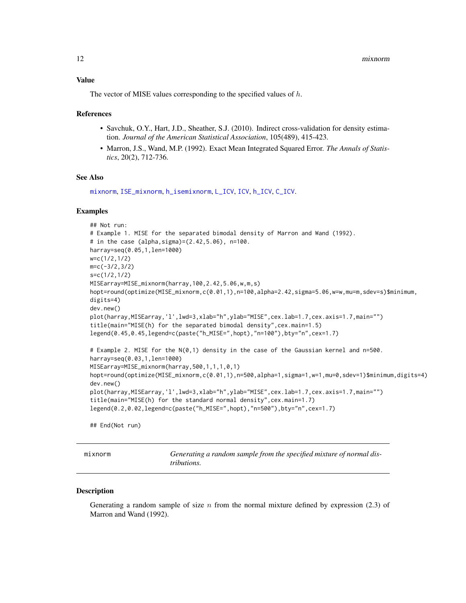<span id="page-11-0"></span>The vector of MISE values corresponding to the specified values of h.

#### References

- Savchuk, O.Y., Hart, J.D., Sheather, S.J. (2010). Indirect cross-validation for density estimation. *Journal of the American Statistical Association*, 105(489), 415-423.
- Marron, J.S., Wand, M.P. (1992). Exact Mean Integrated Squared Error. *The Annals of Statistics*, 20(2), 712-736.

#### See Also

[mixnorm](#page-11-1), [ISE\\_mixnorm](#page-5-1), [h\\_isemixnorm](#page-3-1), [L\\_ICV](#page-9-1), [ICV](#page-4-1), [h\\_ICV](#page-2-1), [C\\_ICV](#page-1-1).

#### Examples

```
## Not run:
# Example 1. MISE for the separated bimodal density of Marron and Wand (1992).
# in the case (alpha,sigma)=(2.42,5.06), n=100.
harray=seq(0.05,1,len=1000)
w=c(1/2,1/2)
m=c(-3/2,3/2)
s=c(1/2,1/2)
MISEarray=MISE_mixnorm(harray,100,2.42,5.06,w,m,s)
hopt=round(optimize(MISE_mixnorm,c(0.01,1),n=100,alpha=2.42,sigma=5.06,w=w,mu=m,sdev=s)$minimum,
digits=4)
dev.new()
plot(harray,MISEarray,'l',lwd=3,xlab="h",ylab="MISE",cex.lab=1.7,cex.axis=1.7,main="")
title(main="MISE(h) for the separated bimodal density",cex.main=1.5)
legend(0.45,0.45,legend=c(paste("h_MISE=",hopt),"n=100"),bty="n",cex=1.7)
# Example 2. MISE for the N(0,1) density in the case of the Gaussian kernel and n=500.
harray=seq(0.03,1,len=1000)
MISEarray=MISE_mixnorm(harray,500,1,1,1,0,1)
hopt=round(optimize(MISE_mixnorm,c(0.01,1),n=500,alpha=1,sigma=1,w=1,mu=0,sdev=1)$minimum,digits=4)
dev.new()
plot(harray,MISEarray,'l',lwd=3,xlab="h",ylab="MISE",cex.lab=1.7,cex.axis=1.7,main="")
title(main="MISE(h) for the standard normal density",cex.main=1.7)
legend(0.2,0.02,legend=c(paste("h_MISE=",hopt),"n=500"),bty="n",cex=1.7)
## End(Not run)
```
<span id="page-11-1"></span>mixnorm *Generating a random sample from the specified mixture of normal distributions.*

#### **Description**

Generating a random sample of size  $n$  from the normal mixture defined by expression (2.3) of Marron and Wand (1992).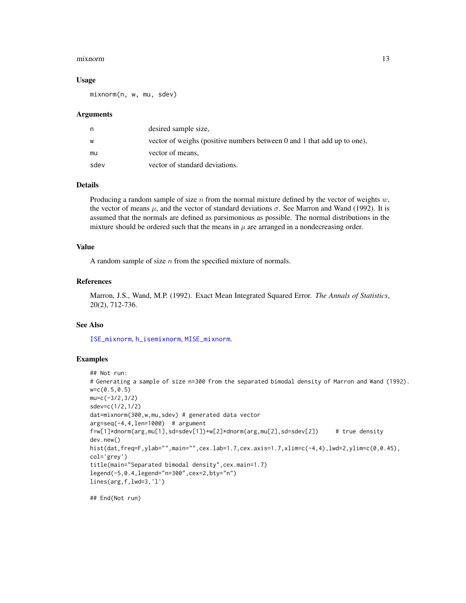#### <span id="page-12-0"></span>mixnorm and the contract of the contract of the contract of the contract of the contract of the contract of the contract of the contract of the contract of the contract of the contract of the contract of the contract of th

#### Usage

mixnorm(n, w, mu, sdev)

#### Arguments

| n    | desired sample size.                                                    |
|------|-------------------------------------------------------------------------|
| w    | vector of weighs (positive numbers between 0 and 1 that add up to one), |
| mu   | vector of means,                                                        |
| sdev | vector of standard deviations.                                          |

#### Details

Producing a random sample of size n from the normal mixture defined by the vector of weights  $w$ , the vector of means  $\mu$ , and the vector of standard deviations  $\sigma$ . See Marron and Wand (1992). It is assumed that the normals are defined as parsimonious as possible. The normal distributions in the mixture should be ordered such that the means in  $\mu$  are arranged in a nondecreasing order.

#### Value

A random sample of size  $n$  from the specified mixture of normals.

#### References

Marron, J.S., Wand, M.P. (1992). Exact Mean Integrated Squared Error. *The Annals of Statistics*, 20(2), 712-736.

#### See Also

[ISE\\_mixnorm](#page-5-1), [h\\_isemixnorm](#page-3-1), [MISE\\_mixnorm](#page-10-1).

#### Examples

```
## Not run:
# Generating a sample of size n=300 from the separated bimodal density of Marron and Wand (1992).
w=c(0.5,0.5)
mu=c(-3/2,3/2)
sdev=c(1/2,1/2)
dat=mixnorm(300,w,mu,sdev) # generated data vector
arg=seq(-4, 4, len=1000) # argument
f=w[1]*dnorm(arg,mu[1],sd=sdev[1])+w[2]*dnorm(arg,mu[2],sd=sdev[2]) # true density
dev.new()
hist(dat,freq=F,ylab="",main="",cex.lab=1.7,cex.axis=1.7,xlim=c(-4,4),lwd=2,ylim=c(0,0.45),
col='grey')
title(main="Separated bimodal density",cex.main=1.7)
legend(-5,0.4,legend="n=300",cex=2,bty="n")
lines(arg,f,lwd=3,'l')
```
## End(Not run)